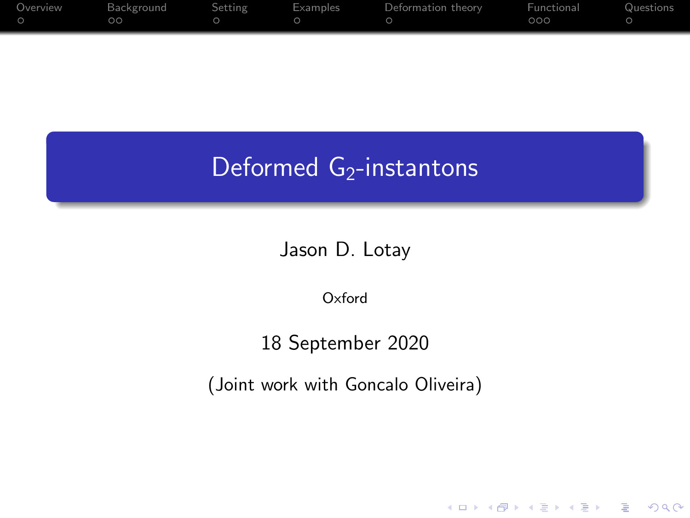| Overview | Background | <b>Setting</b> | Examples | Deformation theory | Functional | Questions |
|----------|------------|----------------|----------|--------------------|------------|-----------|
|          | $\circ$    |                |          |                    | 000        |           |
|          |            |                |          |                    |            |           |

# Deformed G<sub>2</sub>-instantons

Jason D. Lotay

Oxford

### 18 September 2020

(Joint work with Goncalo Oliveira)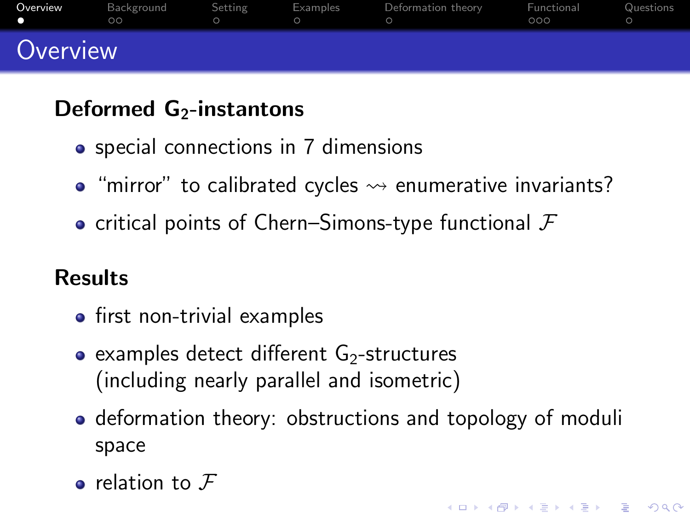<span id="page-1-0"></span>

| Overview | Background<br>$\circ$ | Setting | Examples | Deformation theory | Functional<br>000 | Questions |
|----------|-----------------------|---------|----------|--------------------|-------------------|-----------|
| Overview |                       |         |          |                    |                   |           |

## Deformed  $G_2$ -instantons

- special connections in 7 dimensions
- $\bullet$  "mirror" to calibrated cycles  $\rightsquigarrow$  enumerative invariants?
- critical points of Chern–Simons-type functional  $\mathcal F$

## Results

- $\bullet$  first non-trivial examples
- examples detect different  $G<sub>2</sub>$ -structures (including nearly parallel and isometric)
- deformation theory: obstructions and topology of moduli space

KELK KØLK VELKEN EL 1990

 $\bullet$  relation to  $\mathcal F$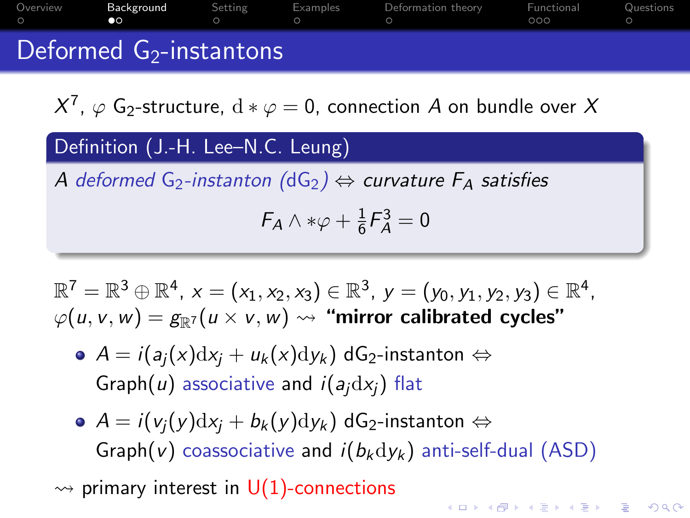<span id="page-2-0"></span>

| Overview | Background<br><b>CO</b>    | Setting | Examples | Deformation theory | Functional<br>റററ | Questions |
|----------|----------------------------|---------|----------|--------------------|-------------------|-----------|
|          | Deformed $G_2$ -instantons |         |          |                    |                   |           |

 $X^7$ ,  $\varphi$  G<sub>2</sub>-structure,  $\text{d}*\varphi=0$ , connection  $A$  on bundle over  $X$ 

Definition (J.-H. Lee–N.C. Leung)

A deformed G<sub>2</sub>-instanton (dG<sub>2</sub>)  $\Leftrightarrow$  curvature  $F_A$  satisfies

 $F_A \wedge * \varphi + \frac{1}{6}$  $\frac{1}{6}F_A^3 = 0$ 

 $\mathbb{R}^7 = \mathbb{R}^3 \oplus \mathbb{R}^4$ ,  $x = (x_1, x_2, x_3) \in \mathbb{R}^3$ ,  $y = (y_0, y_1, y_2, y_3) \in \mathbb{R}^4$ ,  $\varphi(u, v, w) = g_{\mathbb{R}^7}(u \times v, w) \leadsto$  "mirror calibrated cycles"

- $\bullet$  A = i(a<sub>i</sub>(x)dx<sub>i</sub> + u<sub>k</sub>(x)dy<sub>k</sub>) dG<sub>2</sub>-instanton  $\Leftrightarrow$ Graph(u) associative and  $i(a_i dx_i)$  flat
- $\bullet$  A = i(v<sub>i</sub>(y)dx<sub>i</sub> + b<sub>k</sub>(y)dy<sub>k</sub>) dG<sub>2</sub>-instanton  $\Leftrightarrow$ Graph(v) coassociative and  $i(b_kdy_k)$  anti-self-dual (ASD)

KELK KØLK VELKEN EL 1990

 $\rightarrow$  primary interest in U(1)-connections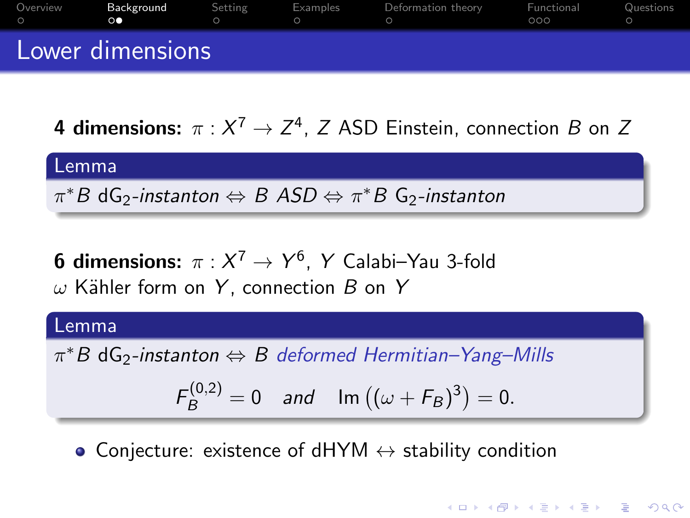| Overview<br>$\bigcirc$ | Background<br>$\circ \bullet$ | Setting | Examples | Deformation theory | Functional<br>000 | Questions |
|------------------------|-------------------------------|---------|----------|--------------------|-------------------|-----------|
|                        | Lower dimensions              |         |          |                    |                   |           |

**4 dimensions:**  $\pi: X^7 \rightarrow Z^4$ , Z ASD Einstein, connection  $B$  on Z

| Lemma | \n $\pi^* B \, dG_2$ - <i>instanton</i> $\Leftrightarrow B \, ASD \Leftrightarrow \pi^* B \, G_2$ - <i>instanton</i> \n |
|-------|-------------------------------------------------------------------------------------------------------------------------|
|-------|-------------------------------------------------------------------------------------------------------------------------|

**6 dimensions:**  $\pi: X^7 \rightarrow Y^6$ , Y Calabi-Yau 3-fold  $\omega$  Kähler form on Y, connection B on Y

#### Lemma

 $\pi^* B$  d ${\sf G}_2$ -instanton  $\Leftrightarrow B$  deformed Hermitian–Yang–Mills

$$
F_B^{(0,2)} = 0
$$
 and  $\text{Im} ((\omega + F_B)^3) = 0.$ 

**KORKARYKERKER POLO** 

• Conjecture: existence of dHYM  $\leftrightarrow$  stability condition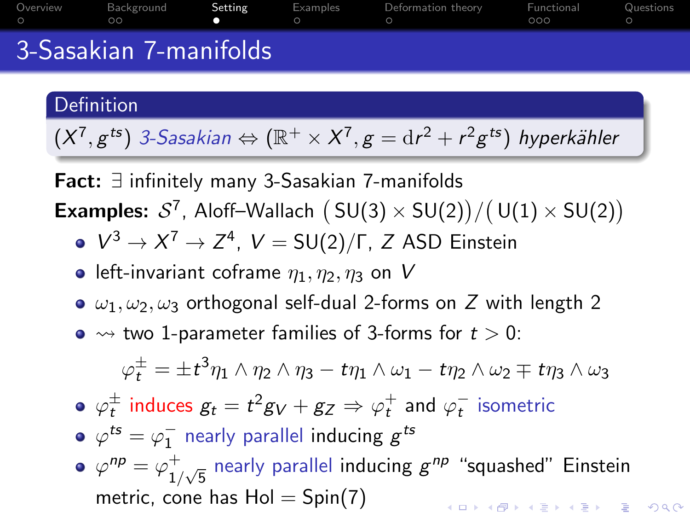<span id="page-4-0"></span>

| Overview<br>$\bigcirc$ | Background<br>ററ       | Setting | Examples | Deformation theory | <b>Eunctional</b> Questions<br>റററ |  |
|------------------------|------------------------|---------|----------|--------------------|------------------------------------|--|
|                        | 3-Sasakian 7-manifolds |         |          |                    |                                    |  |

#### Definition

 $(X^7,g^{ts})$  3-Sasakian  $\Leftrightarrow(\mathbb{R}^+\times X^7,g=\mathrm{d} r^2+r^2g^{ts})$  hyperkähler

Fact: ∃ infinitely many 3-Sasakian 7-manifolds **Examples:**  $S^7$ , Aloff-Wallach  $(SU(3) \times SU(2)) / (U(1) \times SU(2))$ 

- $V^3 \to X^7 \to Z^4$ ,  $V = SU(2)/\Gamma$ , Z ASD Einstein
- **e** left-invariant coframe  $\eta_1, \eta_2, \eta_3$  on V
- $\bullet$   $\omega_1, \omega_2, \omega_3$  orthogonal self-dual 2-forms on Z with length 2
- $\bullet \rightsquigarrow$  two 1-parameter families of 3-forms for  $t > 0$ :

$$
\varphi^\pm_t=\pm t^3\eta_1\wedge\eta_2\wedge\eta_3-t\eta_1\wedge\omega_1-t\eta_2\wedge\omega_2\mp t\eta_3\wedge\omega_3
$$

- $\varphi_t^\pm$  induces  $g_t = t^2 g_V + g_Z \Rightarrow \varphi_t^+$  and  $\varphi_t^-$  isometric
- $\varphi^{ts}=\varphi_1^-$  nearly parallel inducing  $g^{ts}$
- $\varphi^{np} = \varphi_1^+$  $_{1/\sqrt{5}}^+$  nearly parallel inducing  $g^{np}$  "squashed" Einstein metric, cone has  $Hol = Spin(7)$ **KORKAR KERKER SAGA**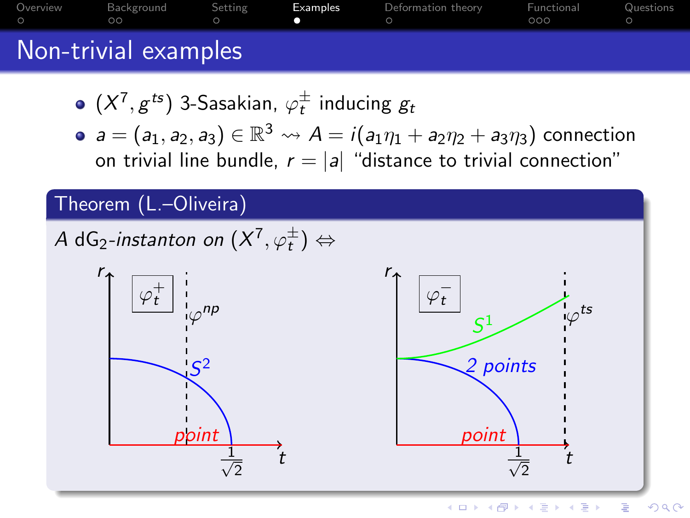<span id="page-5-0"></span>

| Overview | Background<br>ററ     | Setting | Examples | Deformation theory | Functional<br>റററ | Questions |
|----------|----------------------|---------|----------|--------------------|-------------------|-----------|
|          | Non-trivial examples |         |          |                    |                   |           |

- $(X^7,g^{ts})$  3-Sasakian,  $\varphi_t^\pm$  inducing  $g_t$
- $a=(a_1,a_2,a_3)\in \mathbb{R}^3 \leadsto A=i(a_1\eta_1+a_2\eta_2+a_3\eta_3)$  connection on trivial line bundle,  $r = |a|$  "distance to trivial connection"

## Theorem (L.–Oliveira)

A dG $_2$ -instanton on  $(X^7,\varphi^\pm_t)\Leftrightarrow$ 

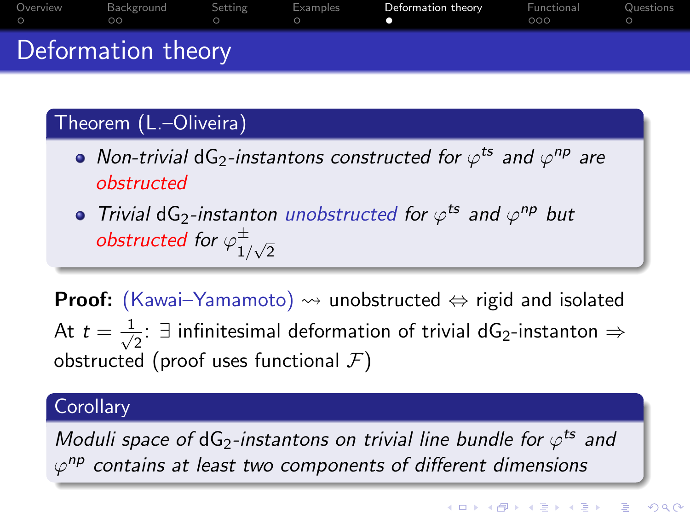<span id="page-6-0"></span>

| Overview<br>$\circ$ | Background<br>$\circ$ | Setting | Examples | Deformation theory | Functional<br>000 | Questions |
|---------------------|-----------------------|---------|----------|--------------------|-------------------|-----------|
|                     | Deformation theory    |         |          |                    |                   |           |

## Theorem (L.–Oliveira)

- Non-trivial dG<sub>2</sub>-instantons constructed for  $\varphi^{ts}$  and  $\varphi^{np}$  are obstructed
- Trivial dG<sub>2</sub>-instanton unobstructed for  $\varphi^{ts}$  and  $\varphi^{np}$  but obstructed for  $\varphi_1^\pm$  $\frac{1}{\sqrt{2}}$

**Proof:** (Kawai–Yamamoto)  $\rightsquigarrow$  unobstructed  $\Leftrightarrow$  rigid and isolated At  $t = \frac{1}{\sqrt{2}}$  $\frac{1}{2}$ : ∃ infinitesimal deformation of trivial dG<sub>2</sub>-instanton  $\Rightarrow$ obstructed (proof uses functional  $\mathcal{F}$ )

#### **Corollary**

Moduli space of dG<sub>2</sub>-instantons on trivial line bundle for  $\varphi^{\texttt{ts}}$  and  $\varphi^{np}$  contains at least two components of different dimensions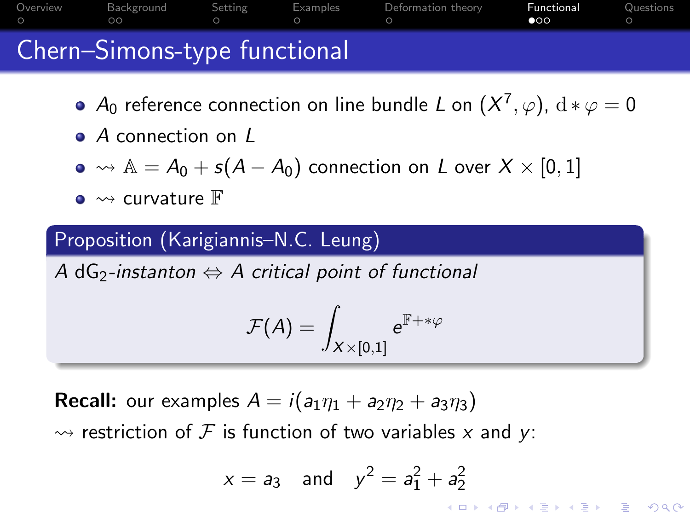<span id="page-7-0"></span>

| Overview<br>$\circ$ | Background<br>$\circ$ $\circ$ | Setting | Examples Deformation theory | Functional<br>$\bullet$ | Questions |
|---------------------|-------------------------------|---------|-----------------------------|-------------------------|-----------|
|                     | Chern-Simons-type functional  |         |                             |                         |           |

- $A_0$  reference connection on line bundle  $L$  on  $(X^7,\varphi)$ ,  $\mathrm{d}*\varphi=0$
- A connection on L
- $\bullet \rightsquigarrow A = A_0 + s(A A_0)$  connection on L over  $X \times [0, 1]$
- $\bullet \rightsquigarrow$  curvature  $\mathbb F$

## Proposition (Karigiannis–N.C. Leung)

A dG<sub>2</sub>-instanton  $\Leftrightarrow$  A critical point of functional

$$
\mathcal{F}(\mathcal{A})=\int_{X\times\left[0,1\right]} \mathrm{e}^{\mathbb{F}+\ast\varphi}
$$

**Recall:** our examples  $A = i(a_1\eta_1 + a_2\eta_2 + a_3\eta_3)$  $\rightsquigarrow$  restriction of F is function of two variables x and y:

$$
x = a_3
$$
 and  $y^2 = a_1^2 + a_2^2$ 

**KORKAR KERKER ST VOOR**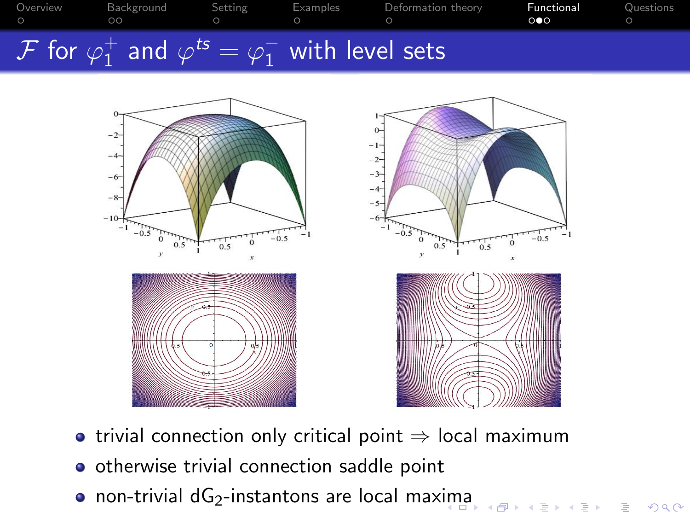| Overview | Background<br>ററ                                                                | Setting | Examples | Deformation theory | Functional<br>ം | Questions |
|----------|---------------------------------------------------------------------------------|---------|----------|--------------------|-----------------|-----------|
|          | $\mathcal F$ for $\varphi_1^+$ and $\varphi^{ts} = \varphi_1^-$ with level sets |         |          |                    |                 |           |



• trivial connection only critical point  $\Rightarrow$  local maximum

Ğ,

 $299$ 

o otherwise trivial connection saddle point

· non-trivial dG<sub>2</sub>-instantons are local max[im](#page-7-0)[a](#page-9-0)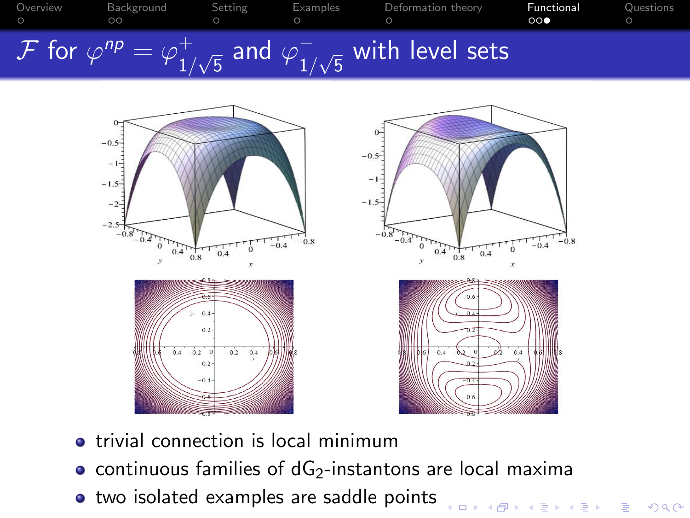<span id="page-9-0"></span>



- **•** trivial connection is local minimum
- continuous families of  $dG<sub>2</sub>$ -instantons are local maxima

.<br>□ ▶ K @ ▶ K 콜 ▶ K 콜 ▶ │ 콜 │ ◆) Q ⊙

• two isolated examples are saddle points